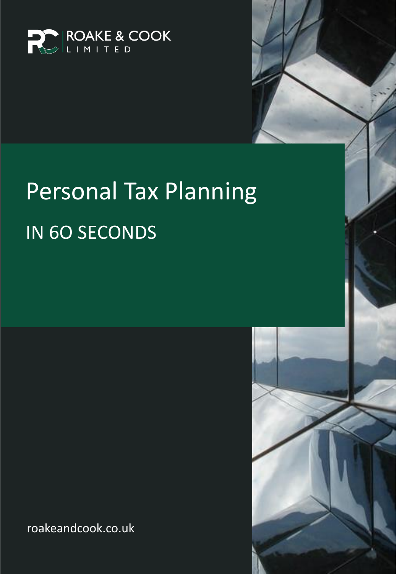

# Personal Tax Planning IN 6O SECONDS

roakeandcook.co.uk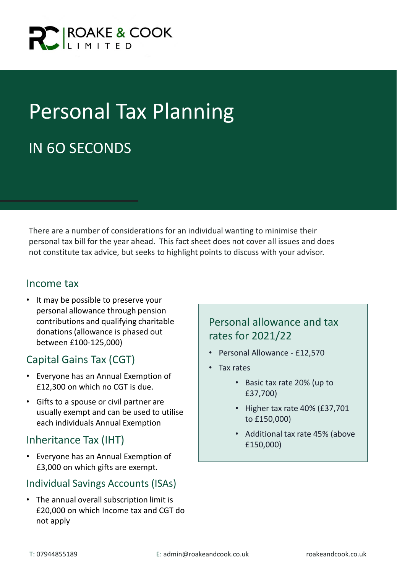

## Personal Tax Planning IN 6O SECONDS

There are a number of considerations for an individual wanting to minimise their personal tax bill for the year ahead. This fact sheet does not cover all issues and does not constitute tax advice, but seeks to highlight points to discuss with your advisor.

#### Income tax

• It may be possible to preserve your personal allowance through pension contributions and qualifying charitable donations (allowance is phased out between £100-125,000)

#### Capital Gains Tax (CGT)

- Everyone has an Annual Exemption of £12,300 on which no CGT is due.
- Gifts to a spouse or civil partner are usually exempt and can be used to utilise each individuals Annual Exemption

#### Inheritance Tax (IHT)

• Everyone has an Annual Exemption of £3,000 on which gifts are exempt.

#### Individual Savings Accounts (ISAs)

• The annual overall subscription limit is £20,000 on which Income tax and CGT do not apply

#### Personal allowance and tax rates for 2021/22

- Personal Allowance £12,570
- Tax rates
	- Basic tax rate 20% (up to £37,700)
	- Higher tax rate 40% (£37,701 to £150,000)
	- Additional tax rate 45% (above £150,000)